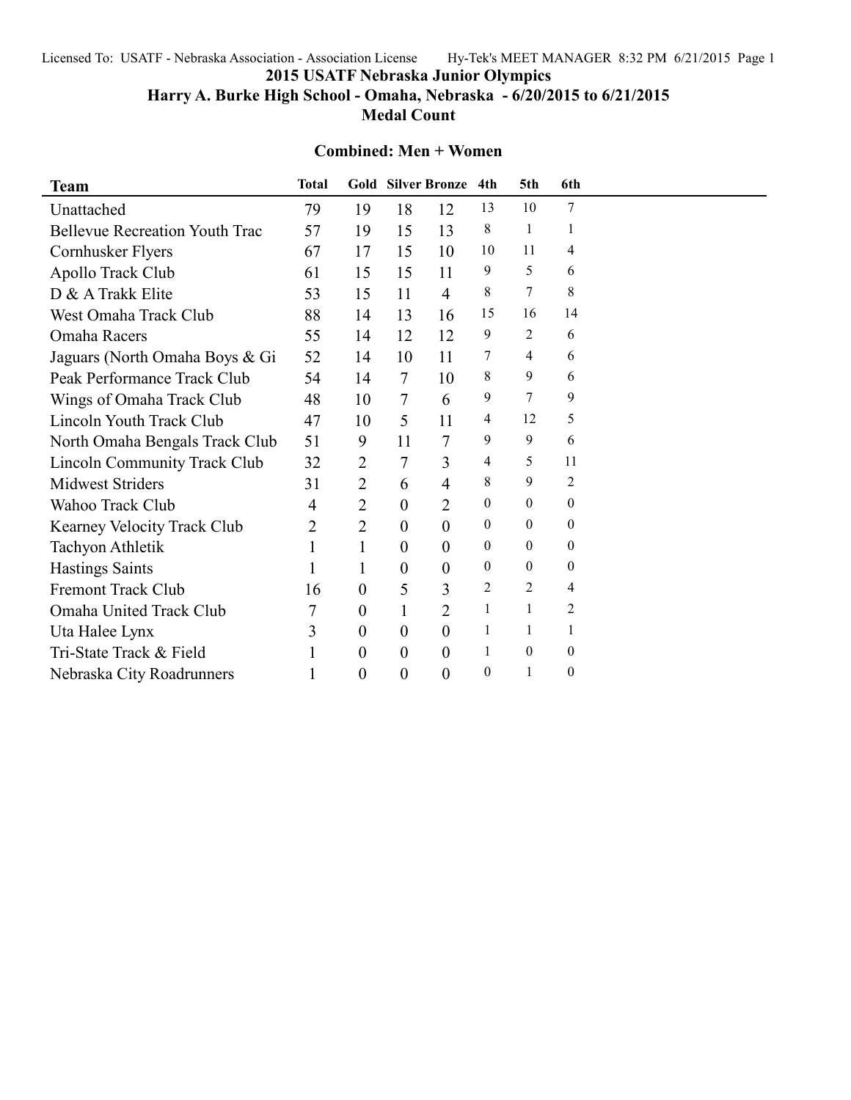Licensed To: USATF - Nebraska Association - Association License Hy-Tek's MEET MANAGER 8:32 PM 6/21/2015 Page 1

**2015 USATF Nebraska Junior Olympics**

**Harry A. Burke High School - Omaha, Nebraska - 6/20/2015 to 6/21/2015 Medal Count**

### **Combined: Men + Women**

| <b>Team</b>                           | <b>Total</b> |                  |                  | <b>Gold Silver Bronze</b> | 4th          | 5th          | 6th              |  |
|---------------------------------------|--------------|------------------|------------------|---------------------------|--------------|--------------|------------------|--|
| Unattached                            | 79           | 19               | 18               | 12                        | 13           | 10           | 7                |  |
| <b>Bellevue Recreation Youth Trac</b> | 57           | 19               | 15               | 13                        | 8            | $\mathbf{1}$ | 1                |  |
| Cornhusker Flyers                     | 67           | 17               | 15               | 10                        | 10           | 11           | 4                |  |
| Apollo Track Club                     | 61           | 15               | 15               | 11                        | 9            | 5            | 6                |  |
| D & A Trakk Elite                     | 53           | 15               | 11               | $\overline{4}$            | 8            | 7            | 8                |  |
| West Omaha Track Club                 | 88           | 14               | 13               | 16                        | 15           | 16           | 14               |  |
| Omaha Racers                          | 55           | 14               | 12               | 12                        | 9            | 2            | 6                |  |
| Jaguars (North Omaha Boys & Gi        | 52           | 14               | 10               | 11                        | 7            | 4            | 6                |  |
| Peak Performance Track Club           | 54           | 14               | $\overline{7}$   | 10                        | 8            | 9            | 6                |  |
| Wings of Omaha Track Club             | 48           | 10               | 7                | 6                         | 9            | 7            | 9                |  |
| Lincoln Youth Track Club              | 47           | 10               | 5                | 11                        | 4            | 12           | 5                |  |
| North Omaha Bengals Track Club        | 51           | 9                | 11               | 7                         | 9            | 9            | 6                |  |
| Lincoln Community Track Club          | 32           | 2                | 7                | 3                         | 4            | 5            | 11               |  |
| <b>Midwest Striders</b>               | 31           | $\overline{2}$   | 6                | 4                         | 8            | 9            | 2                |  |
| Wahoo Track Club                      | 4            | $\overline{2}$   | $\overline{0}$   | $\overline{2}$            | $\mathbf{0}$ | $\theta$     | 0                |  |
| Kearney Velocity Track Club           | 2            | $\overline{2}$   | $\theta$         | $\overline{0}$            | $\mathbf{0}$ | $\theta$     | $\boldsymbol{0}$ |  |
| Tachyon Athletik                      |              | 1                | $\overline{0}$   | $\overline{0}$            | $\mathbf{0}$ | $\theta$     | 0                |  |
| <b>Hastings Saints</b>                |              | 1                | $\overline{0}$   | $\overline{0}$            | $\mathbf{0}$ | 0            | $\boldsymbol{0}$ |  |
| <b>Fremont Track Club</b>             | 16           | $\overline{0}$   | 5                | 3                         | 2            | 2            | 4                |  |
| Omaha United Track Club               | 7            | $\boldsymbol{0}$ | $\mathbf{1}$     | $\overline{2}$            | 1            | 1            | 2                |  |
| Uta Halee Lynx                        | 3            | $\overline{0}$   | $\overline{0}$   | $\overline{0}$            | 1            | 1            |                  |  |
| Tri-State Track & Field               |              | $\boldsymbol{0}$ | $\theta$         | $\overline{0}$            | 1            | $\theta$     | $\mathbf{0}$     |  |
| Nebraska City Roadrunners             | 1            | $\pmb{0}$        | $\boldsymbol{0}$ | $\overline{0}$            | $\mathbf{0}$ | 1            | $\boldsymbol{0}$ |  |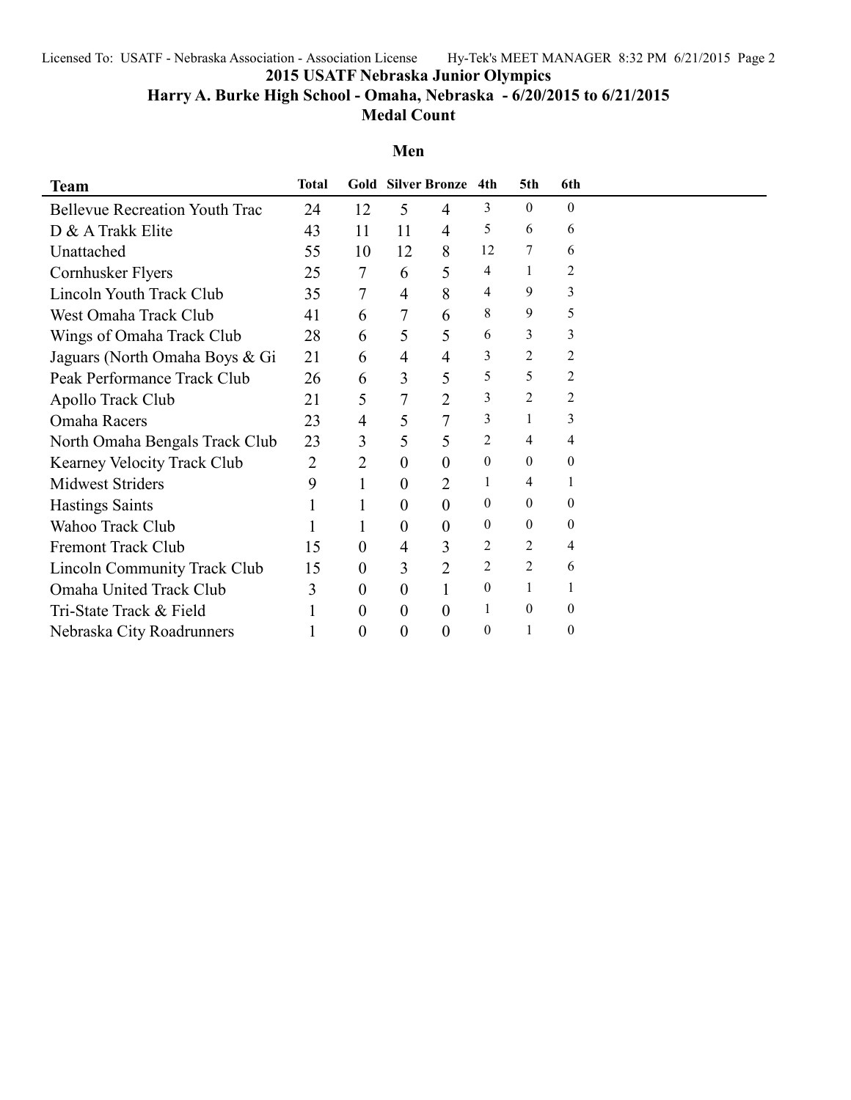Licensed To: USATF - Nebraska Association - Association License Hy-Tek's MEET MANAGER 8:32 PM 6/21/2015 Page 2

**2015 USATF Nebraska Junior Olympics**

# **Harry A. Burke High School - Omaha, Nebraska - 6/20/2015 to 6/21/2015 Medal Count**

# **Men**

| <b>Team</b>                           | <b>Total</b> |                  |                | <b>Gold Silver Bronze</b> | 4th            | 5th            | 6th            |  |
|---------------------------------------|--------------|------------------|----------------|---------------------------|----------------|----------------|----------------|--|
| <b>Bellevue Recreation Youth Trac</b> | 24           | 12               | 5              | 4                         | 3              | $\theta$       | $\theta$       |  |
| D & A Trakk Elite                     | 43           | 11               | 11             | 4                         | 5              | 6              | 6              |  |
| Unattached                            | 55           | 10               | 12             | 8                         | 12             | 7              | 6              |  |
| Cornhusker Flyers                     | 25           | 7                | 6              | 5                         | 4              | 1              | 2              |  |
| Lincoln Youth Track Club              | 35           | 7                | $\overline{4}$ | 8                         | 4              | 9              | 3              |  |
| West Omaha Track Club                 | 41           | 6                | $\tau$         | 6                         | 8              | 9              | 5              |  |
| Wings of Omaha Track Club             | 28           | 6                | 5              | 5                         | 6              | 3              | 3              |  |
| Jaguars (North Omaha Boys & Gi        | 21           | 6                | 4              | 4                         | 3              | 2              | $\overline{2}$ |  |
| Peak Performance Track Club           | 26           | 6                | 3              | 5                         | 5              | 5              | 2              |  |
| Apollo Track Club                     | 21           | 5                | 7              | $\overline{2}$            | 3              | 2              | 2              |  |
| Omaha Racers                          | 23           | 4                | 5              | $\overline{7}$            | 3              |                | 3              |  |
| North Omaha Bengals Track Club        | 23           | 3                | 5              | 5                         | 2              | 4              | 4              |  |
| <b>Kearney Velocity Track Club</b>    | 2            | $\overline{2}$   | 0              | $\overline{0}$            | $\theta$       | $\theta$       | $\theta$       |  |
| <b>Midwest Striders</b>               | 9            | $\mathbf{1}$     | $\overline{0}$ | $\overline{2}$            | 1              | 4              |                |  |
| <b>Hastings Saints</b>                |              |                  | $\theta$       | $\overline{0}$            | $\theta$       | $\theta$       | $\theta$       |  |
| Wahoo Track Club                      |              | 1                | 0              | 0                         | $\mathbf{0}$   | $\theta$       | $\theta$       |  |
| <b>Fremont Track Club</b>             | 15           | $\boldsymbol{0}$ | 4              | 3                         | 2              | 2              | 4              |  |
| <b>Lincoln Community Track Club</b>   | 15           | $\boldsymbol{0}$ | 3              | $\overline{2}$            | $\overline{2}$ | $\overline{2}$ | 6              |  |
| Omaha United Track Club               | 3            | $\boldsymbol{0}$ | $\overline{0}$ |                           | $\theta$       |                |                |  |
| Tri-State Track & Field               |              | $\theta$         | $\overline{0}$ | $\overline{0}$            | 1              | $\theta$       | $\theta$       |  |
| Nebraska City Roadrunners             |              | $\boldsymbol{0}$ | $\overline{0}$ | 0                         | $\theta$       |                | $\theta$       |  |